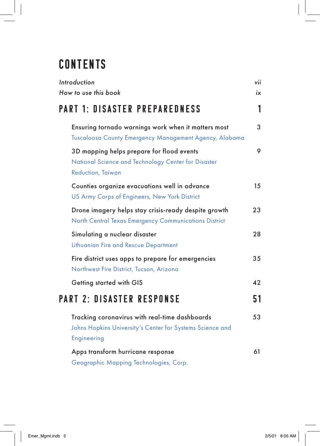## **CONTENTS**

| Introduction                                                                                                                 | vii |
|------------------------------------------------------------------------------------------------------------------------------|-----|
| How to use this book                                                                                                         | ix  |
| <b>PART 1: DISASTER PREPAREDNESS</b>                                                                                         | 1   |
| Ensuring tornado warnings work when it matters most<br>Tuscaloosa County Emergency Management Agency, Alabama                | 3   |
| 3D mapping helps prepare for flood events<br>National Science and Technology Center for Disaster<br><b>Reduction, Taiwan</b> | 9   |
| Counties organize evacuations well in advance<br>US Army Corps of Engineers, New York District                               | 15  |
| Drone imagery helps stay crisis-ready despite growth<br>North Central Texas Emergency Communications District                | 23  |
| Simulating a nuclear disaster<br>Lithuanian Fire and Rescue Department                                                       | 28  |
| Fire district uses apps to prepare for emergencies<br>Northwest Fire District, Tucson, Arizona                               | 35  |
| Getting started with GIS                                                                                                     | 42  |
| <b>PART 2: DISASTER RESPONSE</b>                                                                                             | 51  |
| Tracking coronavirus with real-time dashboards<br>Johns Hopkins University's Center for Systems Science and<br>Engineering   | 53  |
| Apps transform hurricane response<br>Geographic Mapping Technologies, Corp.                                                  | 61  |